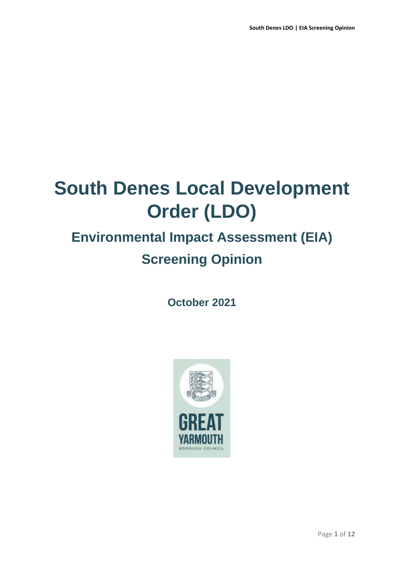# **South Denes Local Development Order (LDO)**

## **Environmental Impact Assessment (EIA) Screening Opinion**

**October 2021**

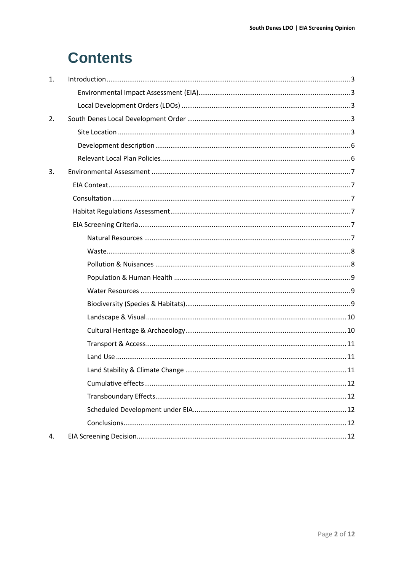## **Contents**

| 1. |  |
|----|--|
|    |  |
|    |  |
| 2. |  |
|    |  |
|    |  |
|    |  |
| 3. |  |
|    |  |
|    |  |
|    |  |
|    |  |
|    |  |
|    |  |
|    |  |
|    |  |
|    |  |
|    |  |
|    |  |
|    |  |
|    |  |
|    |  |
|    |  |
|    |  |
|    |  |
|    |  |
|    |  |
| 4. |  |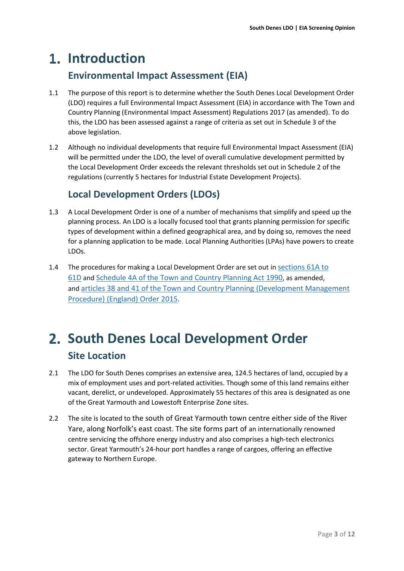## <span id="page-2-1"></span><span id="page-2-0"></span>**Introduction**

### **Environmental Impact Assessment (EIA)**

- 1.1 The purpose of this report is to determine whether the South Denes Local Development Order (LDO) requires a full Environmental Impact Assessment (EIA) in accordance with [The Town and](https://www.legislation.gov.uk/uksi/2017/571/contents/made)  [Country Planning \(Environmental Impact Assessment\) Regulations 2017 \(as amended\).](https://www.legislation.gov.uk/uksi/2017/571/contents/made) To do this, the LDO has been assessed against a range of criteria as set out in Schedule 3 of the above legislation.
- 1.2 Although no individual developments that require full Environmental Impact Assessment (EIA) will be permitted under the LDO, the level of overall cumulative development permitted by the Local Development Order exceeds the relevant thresholds set out in Schedule 2 of the regulations (currently 5 hectares for Industrial Estate Development Projects).

## **Local Development Orders (LDOs)**

- <span id="page-2-2"></span>1.3 A Local Development Order is one of a number of mechanisms that simplify and speed up the planning process. An LDO is a locally focused tool that grants planning permission for specific types of development within a defined geographical area, and by doing so, removes the need for a planning application to be made. Local Planning Authorities (LPAs) have powers to create LDOs.
- 1.4 The procedures for making a Local Development Order are set out in [sections](http://www.legislation.gov.uk/ukpga/1990/8/part/III/crossheading/local-development-orders) 61A to [61D](http://www.legislation.gov.uk/ukpga/1990/8/part/III/crossheading/local-development-orders) and [Schedule](http://www.legislation.gov.uk/ukpga/1990/8/schedule/4A) 4A of the Town and Country Planning Act 1990, as amended, and articles 38 and 41 of the Town and Country Planning [\(Development](http://www.legislation.gov.uk/uksi/2015/595/article/38/made) Management [Procedure\)](http://www.legislation.gov.uk/uksi/2015/595/article/38/made) (England) Order 2015.

## <span id="page-2-4"></span><span id="page-2-3"></span>**South Denes Local Development Order Site Location**

- 2.1 The LDO for South Denes comprises an extensive area, 124.5 hectares of land, occupied by a mix of employment uses and port-related activities. Though some of this land remains either vacant, derelict, or undeveloped. Approximately 55 hectares of this area is designated as one of the Great Yarmouth and Lowestoft Enterprise Zone sites.
- 2.2 The site is located to the south of Great Yarmouth town centre either side of the River Yare, along Norfolk's east coast. The site forms part of an internationally renowned centre servicing the offshore energy industry and also comprises a high-tech electronics sector. Great Yarmouth's 24-hour port handles a range of cargoes, offering an effective gateway to Northern Europe.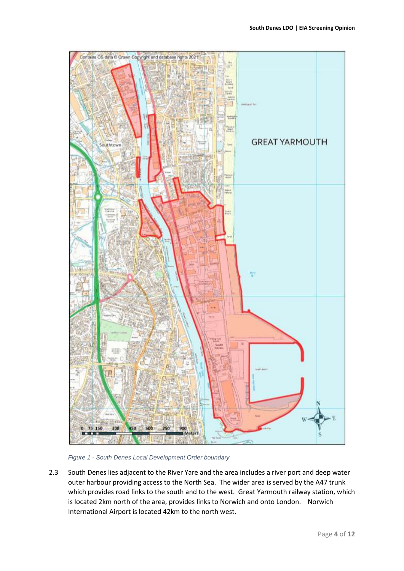

*Figure 1 - South Denes Local Development Order boundary*

2.3 South Denes lies adjacent to the River Yare and the area includes a river port and deep water outer harbour providing access to the North Sea. The wider area is served by the A47 trunk which provides road links to the south and to the west. Great Yarmouth railway station, which is located 2km north of the area, provides links to Norwich and onto London. Norwich International Airport is located 42km to the north west.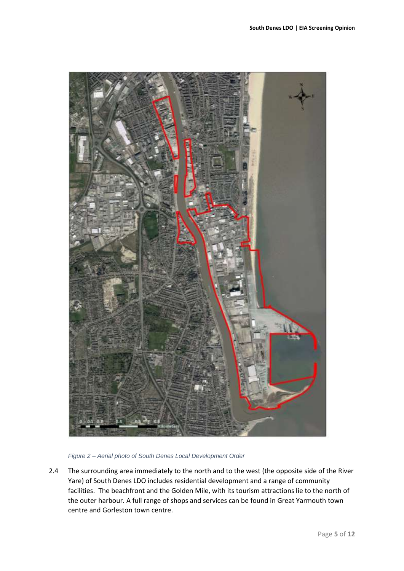

*Figure 2 – Aerial photo of South Denes Local Development Order* 

2.4 The surrounding area immediately to the north and to the west (the opposite side of the River Yare) of South Denes LDO includes residential development and a range of community facilities. The beachfront and the Golden Mile, with its tourism attractions lie to the north of the outer harbour. A full range of shops and services can be found in Great Yarmouth town centre and Gorleston town centre.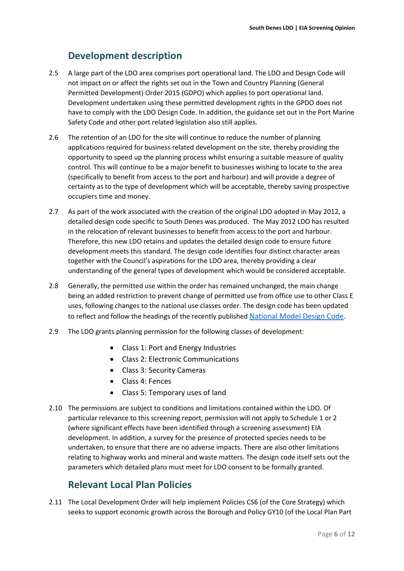### **Development description**

- <span id="page-5-0"></span>2.5 A large part of the LDO area comprises port operational land. The LDO and Design Code will not impact on or affect the rights set out in the Town and Country Planning (General Permitted Development) Order 2015 (GDPO) which applies to port operational land. Development undertaken using these permitted development rights in the GPDO does not have to comply with the LDO Design Code. In addition, the guidance set out in the Port Marine Safety Code and other port related legislation also still applies.
- 2.6 The retention of an LDO for the site will continue to reduce the number of planning applications required for business related development on the site, thereby providing the opportunity to speed up the planning process whilst ensuring a suitable measure of quality control. This will continue to be a major benefit to businesses wishing to locate to the area (specifically to benefit from access to the port and harbour) and will provide a degree of certainty as to the type of development which will be acceptable, thereby saving prospective occupiers time and money.
- 2.7 As part of the work associated with the creation of the original LDO adopted in May 2012, a detailed design code specific to South Denes was produced. The May 2012 LDO has resulted in the relocation of relevant businesses to benefit from access to the port and harbour. Therefore, this new LDO retains and updates the detailed design code to ensure future development meets this standard. The design code identifies four distinct character areas together with the Council's aspirations for the LDO area, thereby providing a clear understanding of the general types of development which would be considered acceptable.
- 2.8 Generally, the permitted use within the order has remained unchanged, the main change being an added restriction to prevent change of permitted use from office use to other Class E uses, following changes to the national use classes order. The design code has been updated to reflect and follow the headings of the recently published [National Model Design Code](https://www.gov.uk/government/publications/national-model-design-code).
- 2.9 The LDO grants planning permission for the following classes of development:
	- Class 1: Port and Energy Industries
	- Class 2: Electronic Communications
	- Class 3: Security Cameras
	- Class 4: Fences
	- Class 5: Temporary uses of land
- 2.10 The permissions are subject to conditions and limitations contained within the LDO. Of particular relevance to this screening report, permission will not apply to Schedule 1 or 2 (where significant effects have been identified through a screening assessment) EIA development. In addition, a survey for the presence of protected species needs to be undertaken, to ensure that there are no adverse impacts. There are also other limitations relating to highway works and mineral and waste matters. The design code itself sets out the parameters which detailed plans must meet for LDO consent to be formally granted.

### **Relevant Local Plan Policies**

<span id="page-5-1"></span>2.11 The Local Development Order will help implement Policies CS6 (of the Core Strategy) which seeks to support economic growth across the Borough and Policy GY10 (of the Local Plan Part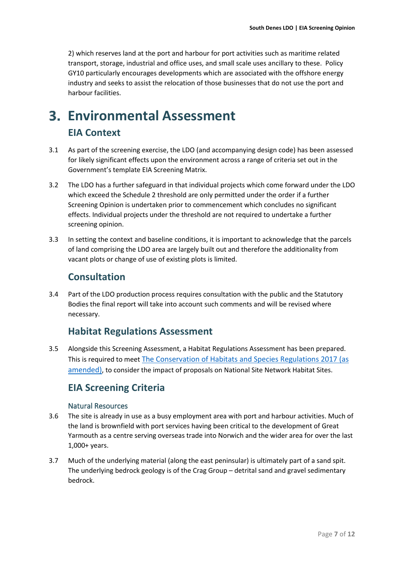2) which reserves land at the port and harbour for port activities such as maritime related transport, storage, industrial and office uses, and small scale uses ancillary to these. Policy GY10 particularly encourages developments which are associated with the offshore energy industry and seeks to assist the relocation of those businesses that do not use the port and harbour facilities.

## <span id="page-6-1"></span><span id="page-6-0"></span>**Environmental Assessment EIA Context**

- 3.1 As part of the screening exercise, the LDO (and accompanying design code) has been assessed for likely significant effects upon the environment across a range of criteria set out in the Government's template EIA Screening Matrix.
- 3.2 The LDO has a further safeguard in that individual projects which come forward under the LDO which exceed the Schedule 2 threshold are only permitted under the order if a further Screening Opinion is undertaken prior to commencement which concludes no significant effects. Individual projects under the threshold are not required to undertake a further screening opinion.
- 3.3 In setting the context and baseline conditions, it is important to acknowledge that the parcels of land comprising the LDO area are largely built out and therefore the additionality from vacant plots or change of use of existing plots is limited.

### **Consultation**

<span id="page-6-2"></span>3.4 Part of the LDO production process requires consultation with the public and the Statutory Bodies the final report will take into account such comments and will be revised where necessary.

### **Habitat Regulations Assessment**

<span id="page-6-3"></span>3.5 Alongside this Screening Assessment, a Habitat Regulations Assessment has been prepared. This is required to meet [The Conservation of Habitats and Species Regulations 2017 \(as](https://www.legislation.gov.uk/uksi/2017/1012/contents/made)  [amended\)](https://www.legislation.gov.uk/uksi/2017/1012/contents/made), to consider the impact of proposals on National Site Network Habitat Sites.

### <span id="page-6-4"></span>**EIA Screening Criteria**

#### Natural Resources

- <span id="page-6-5"></span>3.6 The site is already in use as a busy employment area with port and harbour activities. Much of the land is brownfield with port services having been critical to the development of Great Yarmouth as a centre serving overseas trade into Norwich and the wider area for over the last 1,000+ years.
- 3.7 Much of the underlying material (along the east peninsular) is ultimately part of a sand spit. The underlying bedrock geology is of the Crag Group – detrital sand and gravel sedimentary bedrock.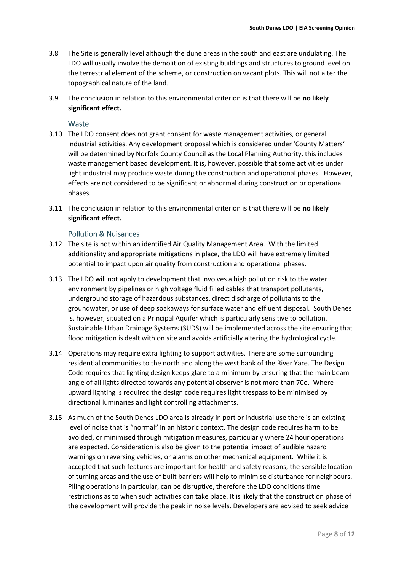- 3.8 The Site is generally level although the dune areas in the south and east are undulating. The LDO will usually involve the demolition of existing buildings and structures to ground level on the terrestrial element of the scheme, or construction on vacant plots. This will not alter the topographical nature of the land.
- 3.9 The conclusion in relation to this environmental criterion is that there will be **no likely significant effect.**

#### **Waste**

- <span id="page-7-0"></span>3.10 The LDO consent does not grant consent for waste management activities, or general industrial activities. Any development proposal which is considered under 'County Matters' will be determined by Norfolk County Council as the Local Planning Authority, this includes waste management based development. It is, however, possible that some activities under light industrial may produce waste during the construction and operational phases. However, effects are not considered to be significant or abnormal during construction or operational phases.
- 3.11 The conclusion in relation to this environmental criterion is that there will be **no likely significant effect.**

#### Pollution & Nuisances

- <span id="page-7-1"></span>3.12 The site is not within an identified Air Quality Management Area. With the limited additionality and appropriate mitigations in place, the LDO will have extremely limited potential to impact upon air quality from construction and operational phases.
- 3.13 The LDO will not apply to development that involves a high pollution risk to the water environment by pipelines or high voltage fluid filled cables that transport pollutants, underground storage of hazardous substances, direct discharge of pollutants to the groundwater, or use of deep soakaways for surface water and effluent disposal. South Denes is, however, situated on a Principal Aquifer which is particularly sensitive to pollution. Sustainable Urban Drainage Systems (SUDS) will be implemented across the site ensuring that flood mitigation is dealt with on site and avoids artificially altering the hydrological cycle.
- 3.14 Operations may require extra lighting to support activities. There are some surrounding residential communities to the north and along the west bank of the River Yare. The Design Code requires that lighting design keeps glare to a minimum by ensuring that the main beam angle of all lights directed towards any potential observer is not more than 70o. Where upward lighting is required the design code requires light trespass to be minimised by directional luminaries and light controlling attachments.
- 3.15 As much of the South Denes LDO area is already in port or industrial use there is an existing level of noise that is "normal" in an historic context. The design code requires harm to be avoided, or minimised through mitigation measures, particularly where 24 hour operations are expected. Consideration is also be given to the potential impact of audible hazard warnings on reversing vehicles, or alarms on other mechanical equipment. While it is accepted that such features are important for health and safety reasons, the sensible location of turning areas and the use of built barriers will help to minimise disturbance for neighbours. Piling operations in particular, can be disruptive, therefore the LDO conditions time restrictions as to when such activities can take place. It is likely that the construction phase of the development will provide the peak in noise levels. Developers are advised to seek advice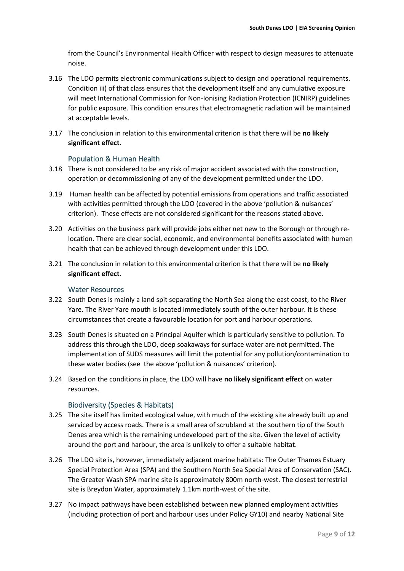from the Council's Environmental Health Officer with respect to design measures to attenuate noise.

- 3.16 The LDO permits electronic communications subject to design and operational requirements. Condition iii) of that class ensures that the development itself and any cumulative exposure will meet International Commission for Non-Ionising Radiation Protection (ICNIRP) guidelines for public exposure. This condition ensures that electromagnetic radiation will be maintained at acceptable levels.
- 3.17 The conclusion in relation to this environmental criterion is that there will be **no likely significant effect**.

#### Population & Human Health

- <span id="page-8-0"></span>3.18 There is not considered to be any risk of major accident associated with the construction, operation or decommissioning of any of the development permitted under the LDO.
- 3.19 Human health can be affected by potential emissions from operations and traffic associated with activities permitted through the LDO (covered in the above 'pollution & nuisances' criterion). These effects are not considered significant for the reasons stated above.
- 3.20 Activities on the business park will provide jobs either net new to the Borough or through relocation. There are clear social, economic, and environmental benefits associated with human health that can be achieved through development under this LDO.
- 3.21 The conclusion in relation to this environmental criterion is that there will be **no likely significant effect**.

#### Water Resources

- <span id="page-8-1"></span>3.22 South Denes is mainly a land spit separating the North Sea along the east coast, to the River Yare. The River Yare mouth is located immediately south of the outer harbour. It is these circumstances that create a favourable location for port and harbour operations.
- 3.23 South Denes is situated on a Principal Aquifer which is particularly sensitive to pollution. To address this through the LDO, deep soakaways for surface water are not permitted. The implementation of SUDS measures will limit the potential for any pollution/contamination to these water bodies (see the above 'pollution & nuisances' criterion).
- 3.24 Based on the conditions in place, the LDO will have **no likely significant effect** on water resources.

#### Biodiversity (Species & Habitats)

- <span id="page-8-2"></span>3.25 The site itself has limited ecological value, with much of the existing site already built up and serviced by access roads. There is a small area of scrubland at the southern tip of the South Denes area which is the remaining undeveloped part of the site. Given the level of activity around the port and harbour, the area is unlikely to offer a suitable habitat.
- 3.26 The LDO site is, however, immediately adjacent marine habitats: The Outer Thames Estuary Special Protection Area (SPA) and the Southern North Sea Special Area of Conservation (SAC). The Greater Wash SPA marine site is approximately 800m north-west. The closest terrestrial site is Breydon Water, approximately 1.1km north-west of the site.
- 3.27 No impact pathways have been established between new planned employment activities (including protection of port and harbour uses under Policy GY10) and nearby National Site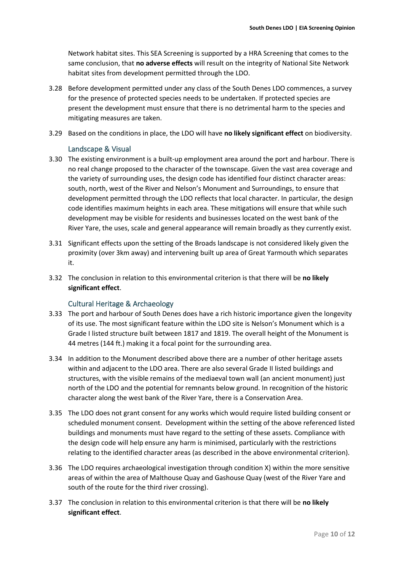Network habitat sites. This SEA Screening is supported by a HRA Screening that comes to the same conclusion, that **no adverse effects** will result on the integrity of National Site Network habitat sites from development permitted through the LDO.

- 3.28 Before development permitted under any class of the South Denes LDO commences, a survey for the presence of protected species needs to be undertaken. If protected species are present the development must ensure that there is no detrimental harm to the species and mitigating measures are taken.
- 3.29 Based on the conditions in place, the LDO will have **no likely significant effect** on biodiversity.

#### Landscape & Visual

- <span id="page-9-0"></span>3.30 The existing environment is a built-up employment area around the port and harbour. There is no real change proposed to the character of the townscape. Given the vast area coverage and the variety of surrounding uses, the design code has identified four distinct character areas: south, north, west of the River and Nelson's Monument and Surroundings, to ensure that development permitted through the LDO reflects that local character. In particular, the design code identifies maximum heights in each area. These mitigations will ensure that while such development may be visible for residents and businesses located on the west bank of the River Yare, the uses, scale and general appearance will remain broadly as they currently exist.
- 3.31 Significant effects upon the setting of the Broads landscape is not considered likely given the proximity (over 3km away) and intervening built up area of Great Yarmouth which separates it.
- 3.32 The conclusion in relation to this environmental criterion is that there will be **no likely significant effect**.

#### Cultural Heritage & Archaeology

- <span id="page-9-1"></span>3.33 The port and harbour of South Denes does have a rich historic importance given the longevity of its use. The most significant feature within the LDO site is Nelson's Monument which is a Grade I listed structure built between 1817 and 1819. The overall height of the Monument is 44 metres (144 ft.) making it a focal point for the surrounding area.
- 3.34 In addition to the Monument described above there are a number of other heritage assets within and adjacent to the LDO area. There are also several Grade II listed buildings and structures, with the visible remains of the mediaeval town wall (an ancient monument) just north of the LDO and the potential for remnants below ground. In recognition of the historic character along the west bank of the River Yare, there is a Conservation Area.
- 3.35 The LDO does not grant consent for any works which would require listed building consent or scheduled monument consent. Development within the setting of the above referenced listed buildings and monuments must have regard to the setting of these assets. Compliance with the design code will help ensure any harm is minimised, particularly with the restrictions relating to the identified character areas (as described in the above environmental criterion).
- 3.36 The LDO requires archaeological investigation through condition X) within the more sensitive areas of within the area of Malthouse Quay and Gashouse Quay (west of the River Yare and south of the route for the third river crossing).
- 3.37 The conclusion in relation to this environmental criterion is that there will be **no likely significant effect**.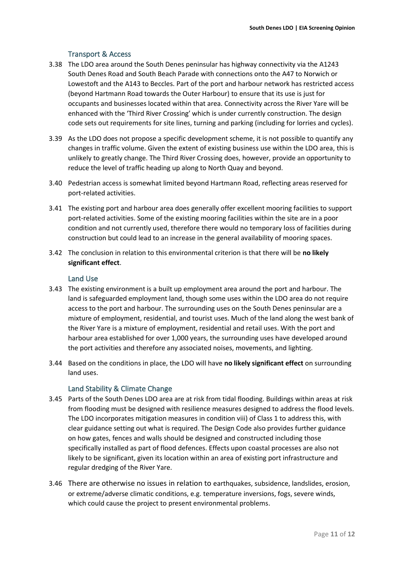#### Transport & Access

- <span id="page-10-0"></span>3.38 The LDO area around the South Denes peninsular has highway connectivity via the A1243 South Denes Road and South Beach Parade with connections onto the A47 to Norwich or Lowestoft and the A143 to Beccles. Part of the port and harbour network has restricted access (beyond Hartmann Road towards the Outer Harbour) to ensure that its use is just for occupants and businesses located within that area. Connectivity across the River Yare will be enhanced with the 'Third River Crossing' which is under currently construction. The design code sets out requirements for site lines, turning and parking (including for lorries and cycles).
- 3.39 As the LDO does not propose a specific development scheme, it is not possible to quantify any changes in traffic volume. Given the extent of existing business use within the LDO area, this is unlikely to greatly change. The Third River Crossing does, however, provide an opportunity to reduce the level of traffic heading up along to North Quay and beyond.
- 3.40 Pedestrian access is somewhat limited beyond Hartmann Road, reflecting areas reserved for port-related activities.
- 3.41 The existing port and harbour area does generally offer excellent mooring facilities to support port-related activities. Some of the existing mooring facilities within the site are in a poor condition and not currently used, therefore there would no temporary loss of facilities during construction but could lead to an increase in the general availability of mooring spaces.
- 3.42 The conclusion in relation to this environmental criterion is that there will be **no likely significant effect**.

#### Land Use

- <span id="page-10-1"></span>3.43 The existing environment is a built up employment area around the port and harbour. The land is safeguarded employment land, though some uses within the LDO area do not require access to the port and harbour. The surrounding uses on the South Denes peninsular are a mixture of employment, residential, and tourist uses. Much of the land along the west bank of the River Yare is a mixture of employment, residential and retail uses. With the port and harbour area established for over 1,000 years, the surrounding uses have developed around the port activities and therefore any associated noises, movements, and lighting.
- 3.44 Based on the conditions in place, the LDO will have **no likely significant effect** on surrounding land uses.

#### Land Stability & Climate Change

- <span id="page-10-2"></span>3.45 Parts of the South Denes LDO area are at risk from tidal flooding. Buildings within areas at risk from flooding must be designed with resilience measures designed to address the flood levels. The LDO incorporates mitigation measures in condition viii) of Class 1 to address this, with clear guidance setting out what is required. The Design Code also provides further guidance on how gates, fences and walls should be designed and constructed including those specifically installed as part of flood defences. Effects upon coastal processes are also not likely to be significant, given its location within an area of existing port infrastructure and regular dredging of the River Yare.
- 3.46 There are otherwise no issues in relation to earthquakes, subsidence, landslides, erosion, or extreme/adverse climatic conditions, e.g. temperature inversions, fogs, severe winds, which could cause the project to present environmental problems.